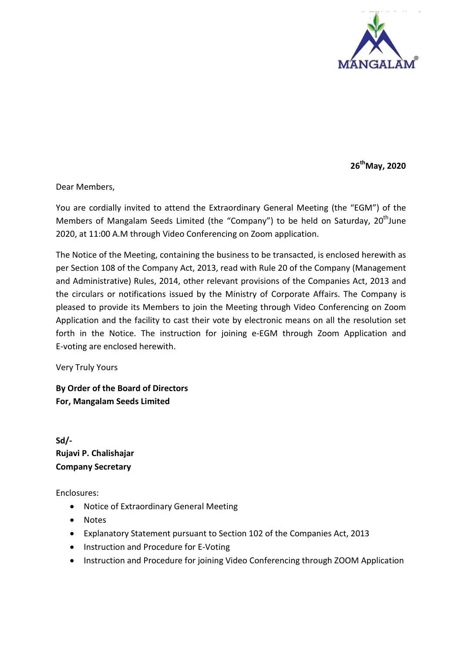

**26thMay, 2020**

Dear Members,

You are cordially invited to attend the Extraordinary General Meeting (the "EGM") of the Members of Mangalam Seeds Limited (the "Company") to be held on Saturday,  $20<sup>th</sup>$ June 2020, at 11:00 A.M through Video Conferencing on Zoom application.

The Notice of the Meeting, containing the business to be transacted, is enclosed herewith as per Section 108 of the Company Act, 2013, read with Rule 20 of the Company (Management and Administrative) Rules, 2014, other relevant provisions of the Companies Act, 2013 and the circulars or notifications issued by the Ministry of Corporate Affairs. The Company is pleased to provide its Members to join the Meeting through Video Conferencing on Zoom Application and the facility to cast their vote by electronic means on all the resolution set forth in the Notice. The instruction for joining e-EGM through Zoom Application and E-voting are enclosed herewith.

Very Truly Yours

**By Order of the Board of Directors For, Mangalam Seeds Limited**

**Sd/- Rujavi P. Chalishajar Company Secretary** 

Enclosures:

- Notice of Extraordinary General Meeting
- Notes
- Explanatory Statement pursuant to Section 102 of the Companies Act, 2013
- Instruction and Procedure for E-Voting
- Instruction and Procedure for joining Video Conferencing through ZOOM Application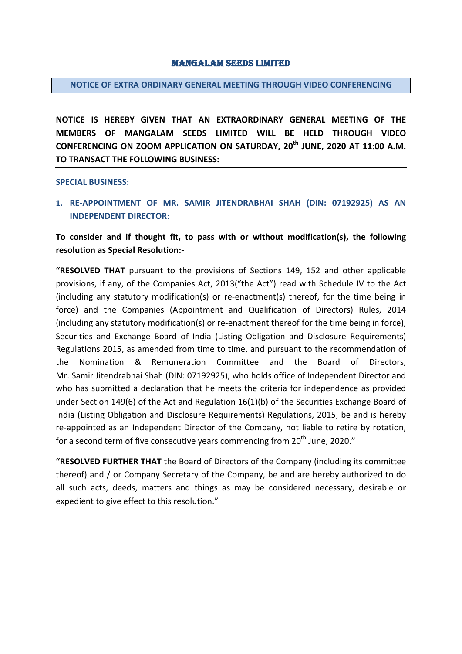#### Mangalam Seeds Limited

#### **NOTICE OF EXTRA ORDINARY GENERAL MEETING THROUGH VIDEO CONFERENCING**

**NOTICE IS HEREBY GIVEN THAT AN EXTRAORDINARY GENERAL MEETING OF THE MEMBERS OF MANGALAM SEEDS LIMITED WILL BE HELD THROUGH VIDEO CONFERENCING ON ZOOM APPLICATION ON SATURDAY, 20th JUNE, 2020 AT 11:00 A.M. TO TRANSACT THE FOLLOWING BUSINESS:**

**SPECIAL BUSINESS:**

**1. RE-APPOINTMENT OF MR. SAMIR JITENDRABHAI SHAH (DIN: 07192925) AS AN INDEPENDENT DIRECTOR:**

# **To consider and if thought fit, to pass with or without modification(s), the following resolution as Special Resolution:-**

**"RESOLVED THAT** pursuant to the provisions of Sections 149, 152 and other applicable provisions, if any, of the Companies Act, 2013("the Act") read with Schedule IV to the Act (including any statutory modification(s) or re-enactment(s) thereof, for the time being in force) and the Companies (Appointment and Qualification of Directors) Rules, 2014 (including any statutory modification(s) or re-enactment thereof for the time being in force), Securities and Exchange Board of India (Listing Obligation and Disclosure Requirements) Regulations 2015, as amended from time to time, and pursuant to the recommendation of the Nomination & Remuneration Committee and the Board of Directors, Mr. Samir Jitendrabhai Shah (DIN: 07192925), who holds office of Independent Director and who has submitted a declaration that he meets the criteria for independence as provided under Section 149(6) of the Act and Regulation 16(1)(b) of the Securities Exchange Board of India (Listing Obligation and Disclosure Requirements) Regulations, 2015, be and is hereby re-appointed as an Independent Director of the Company, not liable to retire by rotation, for a second term of five consecutive years commencing from 20<sup>th</sup> June, 2020."

**"RESOLVED FURTHER THAT** the Board of Directors of the Company (including its committee thereof) and / or Company Secretary of the Company, be and are hereby authorized to do all such acts, deeds, matters and things as may be considered necessary, desirable or expedient to give effect to this resolution."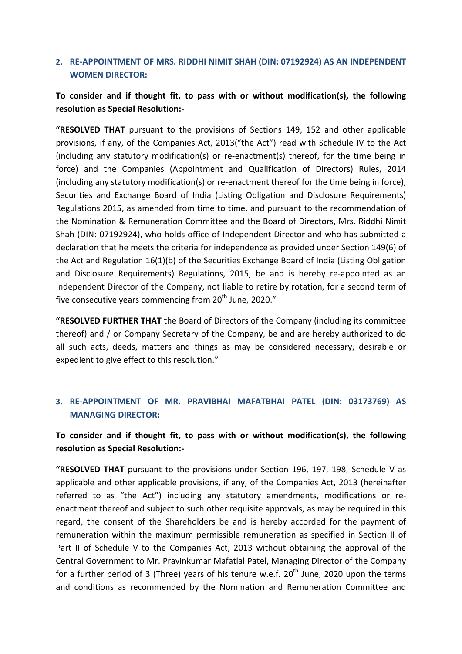# **2. RE-APPOINTMENT OF MRS. RIDDHI NIMIT SHAH (DIN: 07192924) AS AN INDEPENDENT WOMEN DIRECTOR:**

# **To consider and if thought fit, to pass with or without modification(s), the following resolution as Special Resolution:-**

**"RESOLVED THAT** pursuant to the provisions of Sections 149, 152 and other applicable provisions, if any, of the Companies Act, 2013("the Act") read with Schedule IV to the Act (including any statutory modification(s) or re-enactment(s) thereof, for the time being in force) and the Companies (Appointment and Qualification of Directors) Rules, 2014 (including any statutory modification(s) or re-enactment thereof for the time being in force), Securities and Exchange Board of India (Listing Obligation and Disclosure Requirements) Regulations 2015, as amended from time to time, and pursuant to the recommendation of the Nomination & Remuneration Committee and the Board of Directors, Mrs. Riddhi Nimit Shah (DIN: 07192924), who holds office of Independent Director and who has submitted a declaration that he meets the criteria for independence as provided under Section 149(6) of the Act and Regulation 16(1)(b) of the Securities Exchange Board of India (Listing Obligation and Disclosure Requirements) Regulations, 2015, be and is hereby re-appointed as an Independent Director of the Company, not liable to retire by rotation, for a second term of five consecutive years commencing from  $20<sup>th</sup>$  June, 2020."

**"RESOLVED FURTHER THAT** the Board of Directors of the Company (including its committee thereof) and / or Company Secretary of the Company, be and are hereby authorized to do all such acts, deeds, matters and things as may be considered necessary, desirable or expedient to give effect to this resolution."

# **3. RE-APPOINTMENT OF MR. PRAVIBHAI MAFATBHAI PATEL (DIN: 03173769) AS MANAGING DIRECTOR:**

# **To consider and if thought fit, to pass with or without modification(s), the following resolution as Special Resolution:-**

**"RESOLVED THAT** pursuant to the provisions under Section 196, 197, 198, Schedule V as applicable and other applicable provisions, if any, of the Companies Act, 2013 (hereinafter referred to as "the Act") including any statutory amendments, modifications or reenactment thereof and subject to such other requisite approvals, as may be required in this regard, the consent of the Shareholders be and is hereby accorded for the payment of remuneration within the maximum permissible remuneration as specified in Section II of Part II of Schedule V to the Companies Act, 2013 without obtaining the approval of the Central Government to Mr. Pravinkumar Mafatlal Patel, Managing Director of the Company for a further period of 3 (Three) years of his tenure w.e.f.  $20^{th}$  June, 2020 upon the terms and conditions as recommended by the Nomination and Remuneration Committee and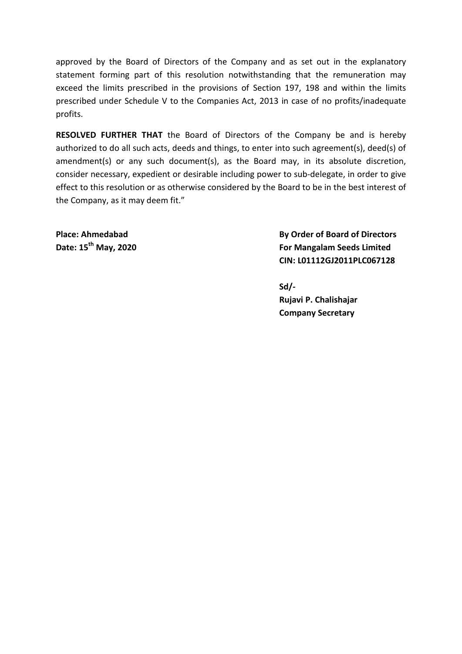approved by the Board of Directors of the Company and as set out in the explanatory statement forming part of this resolution notwithstanding that the remuneration may exceed the limits prescribed in the provisions of Section 197, 198 and within the limits prescribed under Schedule V to the Companies Act, 2013 in case of no profits/inadequate profits.

**RESOLVED FURTHER THAT** the Board of Directors of the Company be and is hereby authorized to do all such acts, deeds and things, to enter into such agreement(s), deed(s) of amendment(s) or any such document(s), as the Board may, in its absolute discretion, consider necessary, expedient or desirable including power to sub-delegate, in order to give effect to this resolution or as otherwise considered by the Board to be in the best interest of the Company, as it may deem fit."

**Place: Ahmedabad By Order of Board of Directors Date: 15th May, 2020 For Mangalam Seeds Limited CIN: L01112GJ2011PLC067128**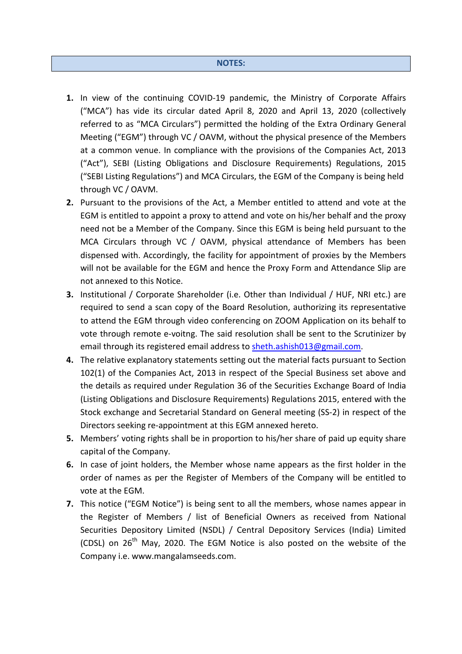- **1.** In view of the continuing COVID-19 pandemic, the Ministry of Corporate Affairs ("MCA") has vide its circular dated April 8, 2020 and April 13, 2020 (collectively referred to as "MCA Circulars") permitted the holding of the Extra Ordinary General Meeting ("EGM") through VC / OAVM, without the physical presence of the Members at a common venue. In compliance with the provisions of the Companies Act, 2013 ("Act"), SEBI (Listing Obligations and Disclosure Requirements) Regulations, 2015 ("SEBI Listing Regulations") and MCA Circulars, the EGM of the Company is being held through VC / OAVM.
- **2.** Pursuant to the provisions of the Act, a Member entitled to attend and vote at the EGM is entitled to appoint a proxy to attend and vote on his/her behalf and the proxy need not be a Member of the Company. Since this EGM is being held pursuant to the MCA Circulars through VC / OAVM, physical attendance of Members has been dispensed with. Accordingly, the facility for appointment of proxies by the Members will not be available for the EGM and hence the Proxy Form and Attendance Slip are not annexed to this Notice.
- **3.** Institutional / Corporate Shareholder (i.e. Other than Individual / HUF, NRI etc.) are required to send a scan copy of the Board Resolution, authorizing its representative to attend the EGM through video conferencing on ZOOM Application on its behalf to vote through remote e-voitng. The said resolution shall be sent to the Scrutinizer by email through its registered email address t[o sheth.ashish013@gmail.com.](mailto:sheth.ashish013@gmail.com)
- **4.** The relative explanatory statements setting out the material facts pursuant to Section 102(1) of the Companies Act, 2013 in respect of the Special Business set above and the details as required under Regulation 36 of the Securities Exchange Board of India (Listing Obligations and Disclosure Requirements) Regulations 2015, entered with the Stock exchange and Secretarial Standard on General meeting (SS-2) in respect of the Directors seeking re-appointment at this EGM annexed hereto.
- **5.** Members' voting rights shall be in proportion to his/her share of paid up equity share capital of the Company.
- **6.** In case of joint holders, the Member whose name appears as the first holder in the order of names as per the Register of Members of the Company will be entitled to vote at the EGM.
- **7.** This notice ("EGM Notice") is being sent to all the members, whose names appear in the Register of Members / list of Beneficial Owners as received from National Securities Depository Limited (NSDL) / Central Depository Services (India) Limited (CDSL) on  $26<sup>th</sup>$  May, 2020. The EGM Notice is also posted on the website of the Company i.e. [www.mangalamseeds.com.](http://www.mangalamseeds.com/)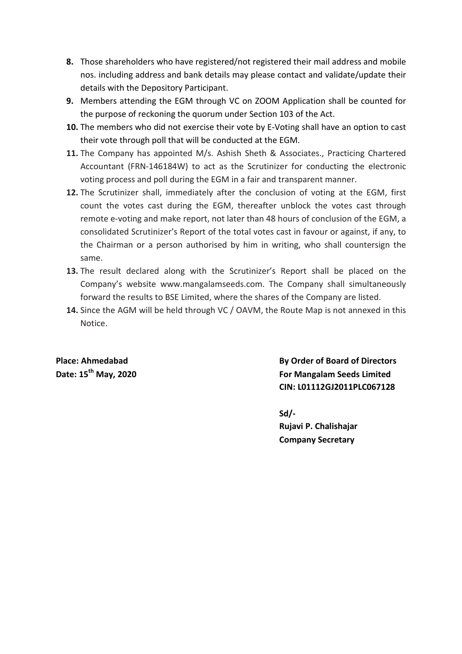- **8.** Those shareholders who have registered/not registered their mail address and mobile nos. including address and bank details may please contact and validate/update their details with the Depository Participant.
- **9.** Members attending the EGM through VC on ZOOM Application shall be counted for the purpose of reckoning the quorum under Section 103 of the Act.
- **10.** The members who did not exercise their vote by E-Voting shall have an option to cast their vote through poll that will be conducted at the EGM.
- **11.** The Company has appointed M/s. Ashish Sheth & Associates., Practicing Chartered Accountant (FRN-146184W) to act as the Scrutinizer for conducting the electronic voting process and poll during the EGM in a fair and transparent manner.
- **12.** The Scrutinizer shall, immediately after the conclusion of voting at the EGM, first count the votes cast during the EGM, thereafter unblock the votes cast through remote e-voting and make report, not later than 48 hours of conclusion of the EGM, a consolidated Scrutinizer's Report of the total votes cast in favour or against, if any, to the Chairman or a person authorised by him in writing, who shall countersign the same.
- **13.** The result declared along with the Scrutinizer's Report shall be placed on the Company's website www.mangalamseeds.com. The Company shall simultaneously forward the results to BSE Limited, where the shares of the Company are listed.
- **14.** Since the AGM will be held through VC / OAVM, the Route Map is not annexed in this Notice.

**Place: Ahmedabad By Order of Board of Directors Date: 15th May, 2020 For Mangalam Seeds Limited CIN: L01112GJ2011PLC067128**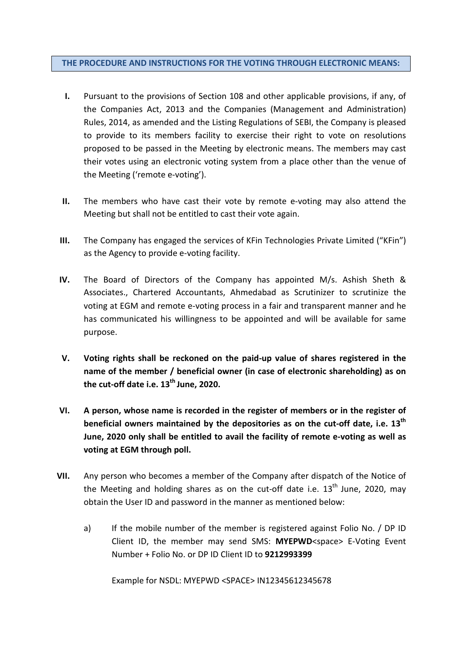#### **THE PROCEDURE AND INSTRUCTIONS FOR THE VOTING THROUGH ELECTRONIC MEANS:**

- **I.** Pursuant to the provisions of Section 108 and other applicable provisions, if any, of the Companies Act, 2013 and the Companies (Management and Administration) Rules, 2014, as amended and the Listing Regulations of SEBI, the Company is pleased to provide to its members facility to exercise their right to vote on resolutions proposed to be passed in the Meeting by electronic means. The members may cast their votes using an electronic voting system from a place other than the venue of the Meeting ('remote e-voting').
- **II.** The members who have cast their vote by remote e-voting may also attend the Meeting but shall not be entitled to cast their vote again.
- **III.** The Company has engaged the services of KFin Technologies Private Limited ("KFin") as the Agency to provide e-voting facility.
- **IV.** The Board of Directors of the Company has appointed M/s. Ashish Sheth & Associates., Chartered Accountants, Ahmedabad as Scrutinizer to scrutinize the voting at EGM and remote e-voting process in a fair and transparent manner and he has communicated his willingness to be appointed and will be available for same purpose.
- **V. Voting rights shall be reckoned on the paid-up value of shares registered in the name of the member / beneficial owner (in case of electronic shareholding) as on the cut-off date i.e. 13th June, 2020.**
- **VI. A person, whose name is recorded in the register of members or in the register of beneficial owners maintained by the depositories as on the cut-off date, i.e. 13th June, 2020 only shall be entitled to avail the facility of remote e-voting as well as voting at EGM through poll.**
- **VII.** Any person who becomes a member of the Company after dispatch of the Notice of the Meeting and holding shares as on the cut-off date i.e.  $13<sup>th</sup>$  June, 2020, may obtain the User ID and password in the manner as mentioned below:
	- a) If the mobile number of the member is registered against Folio No. / DP ID Client ID, the member may send SMS: **MYEPWD**<space> E-Voting Event Number + Folio No. or DP ID Client ID to **9212993399**

Example for NSDL: MYEPWD <SPACE> IN12345612345678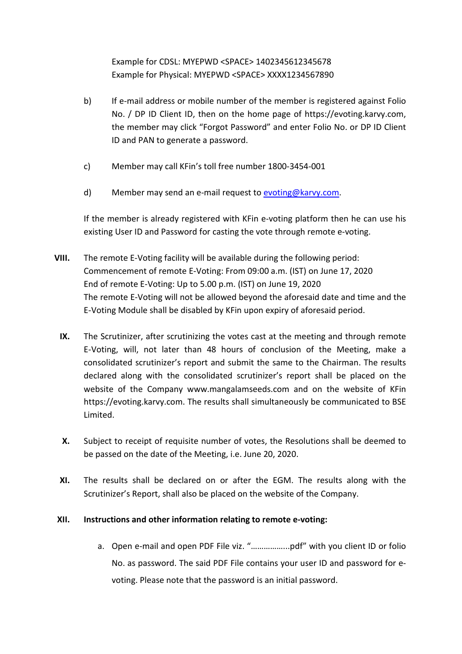Example for CDSL: MYEPWD <SPACE> 1402345612345678 Example for Physical: MYEPWD <SPACE> XXXX1234567890

- b) If e-mail address or mobile number of the member is registered against Folio No. / DP ID Client ID, then on the home page of https://evoting.karvy.com, the member may click "Forgot Password" and enter Folio No. or DP ID Client ID and PAN to generate a password.
- c) Member may call KFin's toll free number 1800-3454-001
- d) Member may send an e-mail request t[o evoting@karvy.com.](mailto:evoting@karvy.com)

If the member is already registered with KFin e-voting platform then he can use his existing User ID and Password for casting the vote through remote e-voting.

- **VIII.** The remote E-Voting facility will be available during the following period: Commencement of remote E-Voting: From 09:00 a.m. (IST) on June 17, 2020 End of remote E-Voting: Up to 5.00 p.m. (IST) on June 19, 2020 The remote E-Voting will not be allowed beyond the aforesaid date and time and the E-Voting Module shall be disabled by KFin upon expiry of aforesaid period.
	- **IX.** The Scrutinizer, after scrutinizing the votes cast at the meeting and through remote E-Voting, will, not later than 48 hours of conclusion of the Meeting, make a consolidated scrutinizer's report and submit the same to the Chairman. The results declared along with the consolidated scrutinizer's report shall be placed on the website of the Company www.mangalamseeds.com and on the website of KFin https://evoting.karvy.com. The results shall simultaneously be communicated to BSE Limited.
	- **X.** Subject to receipt of requisite number of votes, the Resolutions shall be deemed to be passed on the date of the Meeting, i.e. June 20, 2020.
	- **XI.** The results shall be declared on or after the EGM. The results along with the Scrutinizer's Report, shall also be placed on the website of the Company.

### **XII. Instructions and other information relating to remote e-voting:**

a. Open e-mail and open PDF File viz. "……………...pdf" with you client ID or folio No. as password. The said PDF File contains your user ID and password for evoting. Please note that the password is an initial password.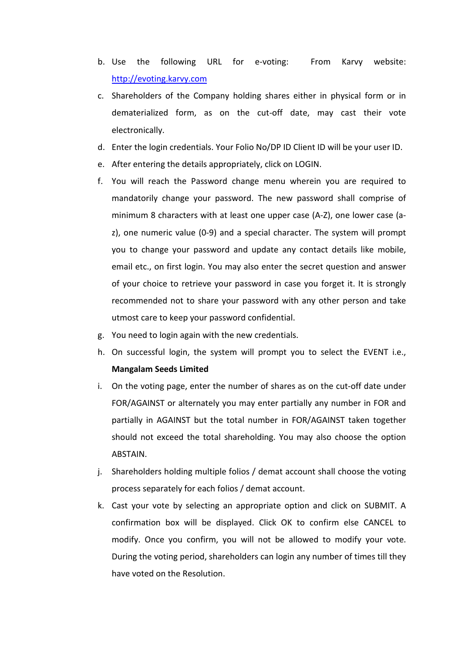- b. Use the following URL for e-voting: From Karvy website: [http://evoting.karvy.com](http://evoting.karvy.com/)
- c. Shareholders of the Company holding shares either in physical form or in dematerialized form, as on the cut-off date, may cast their vote electronically.
- d. Enter the login credentials. Your Folio No/DP ID Client ID will be your user ID.
- e. After entering the details appropriately, click on LOGIN.
- f. You will reach the Password change menu wherein you are required to mandatorily change your password. The new password shall comprise of minimum 8 characters with at least one upper case (A-Z), one lower case (az), one numeric value (0-9) and a special character. The system will prompt you to change your password and update any contact details like mobile, email etc., on first login. You may also enter the secret question and answer of your choice to retrieve your password in case you forget it. It is strongly recommended not to share your password with any other person and take utmost care to keep your password confidential.
- g. You need to login again with the new credentials.
- h. On successful login, the system will prompt you to select the EVENT i.e., **Mangalam Seeds Limited**
- i. On the voting page, enter the number of shares as on the cut-off date under FOR/AGAINST or alternately you may enter partially any number in FOR and partially in AGAINST but the total number in FOR/AGAINST taken together should not exceed the total shareholding. You may also choose the option ABSTAIN.
- j. Shareholders holding multiple folios / demat account shall choose the voting process separately for each folios / demat account.
- k. Cast your vote by selecting an appropriate option and click on SUBMIT. A confirmation box will be displayed. Click OK to confirm else CANCEL to modify. Once you confirm, you will not be allowed to modify your vote. During the voting period, shareholders can login any number of times till they have voted on the Resolution.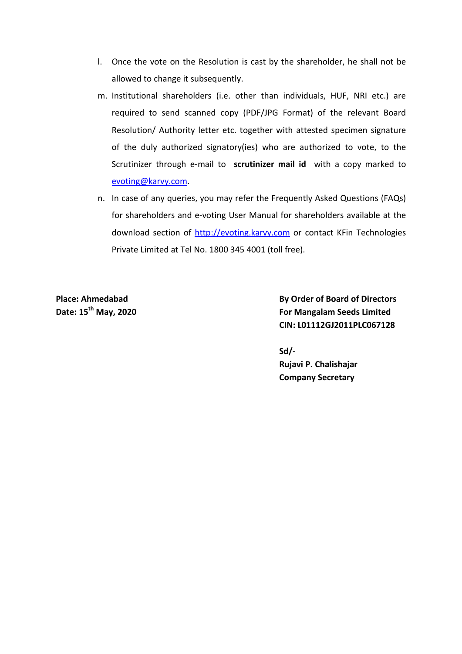- l. Once the vote on the Resolution is cast by the shareholder, he shall not be allowed to change it subsequently.
- m. Institutional shareholders (i.e. other than individuals, HUF, NRI etc.) are required to send scanned copy (PDF/JPG Format) of the relevant Board Resolution/ Authority letter etc. together with attested specimen signature of the duly authorized signatory(ies) who are authorized to vote, to the Scrutinizer through e-mail to **scrutinizer mail id** with a copy marked to [evoting@karvy.com.](mailto:evoting@karvy.com)
- n. In case of any queries, you may refer the Frequently Asked Questions (FAQs) for shareholders and e-voting User Manual for shareholders available at the download section of [http://evoting.karvy.com](http://evoting.karvy.com/) or contact KFin Technologies Private Limited at Tel No. 1800 345 4001 (toll free).

**Place: Ahmedabad By Order of Board of Directors Date: 15th May, 2020 For Mangalam Seeds Limited CIN: L01112GJ2011PLC067128**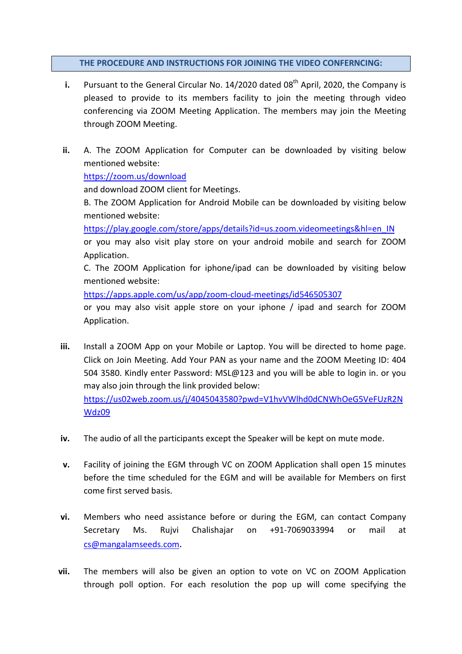### **THE PROCEDURE AND INSTRUCTIONS FOR JOINING THE VIDEO CONFERNCING:**

- **i.** Pursuant to the General Circular No. 14/2020 dated 08<sup>th</sup> April, 2020, the Company is pleased to provide to its members facility to join the meeting through video conferencing via ZOOM Meeting Application. The members may join the Meeting through ZOOM Meeting.
- **ii.** A. The ZOOM Application for Computer can be downloaded by visiting below mentioned website:

<https://zoom.us/download>

[Wdz09](https://us02web.zoom.us/j/4045043580?pwd=V1hvVWlhd0dCNWhOeG5VeFUzR2NWdz09)

and download ZOOM client for Meetings.

B. The ZOOM Application for Android Mobile can be downloaded by visiting below mentioned website:

[https://play.google.com/store/apps/details?id=us.zoom.videomeetings&hl=en\\_IN](https://play.google.com/store/apps/details?id=us.zoom.videomeetings&hl=en_IN)

or you may also visit play store on your android mobile and search for ZOOM Application.

C. The ZOOM Application for iphone/ipad can be downloaded by visiting below mentioned website:

<https://apps.apple.com/us/app/zoom-cloud-meetings/id546505307>

or you may also visit apple store on your iphone / ipad and search for ZOOM Application.

- **iii.** Install a ZOOM App on your Mobile or Laptop. You will be directed to home page. Click on Join Meeting. Add Your PAN as your name and the ZOOM Meeting ID: 404 504 3580. Kindly enter Password: MSL@123 and you will be able to login in. or you may also join through the link provided below: [https://us02web.zoom.us/j/4045043580?pwd=V1hvVWlhd0dCNWhOeG5VeFUzR2N](https://us02web.zoom.us/j/4045043580?pwd=V1hvVWlhd0dCNWhOeG5VeFUzR2NWdz09)
- **iv.** The audio of all the participants except the Speaker will be kept on mute mode.
- **v.** Facility of joining the EGM through VC on ZOOM Application shall open 15 minutes before the time scheduled for the EGM and will be available for Members on first come first served basis.
- **vi.** Members who need assistance before or during the EGM, can contact Company Secretary Ms. Rujvi Chalishajar on +91-7069033994 or mail at [cs@mangalamseeds.com.](mailto:cs@mangalamseeds.com)
- **vii.** The members will also be given an option to vote on VC on ZOOM Application through poll option. For each resolution the pop up will come specifying the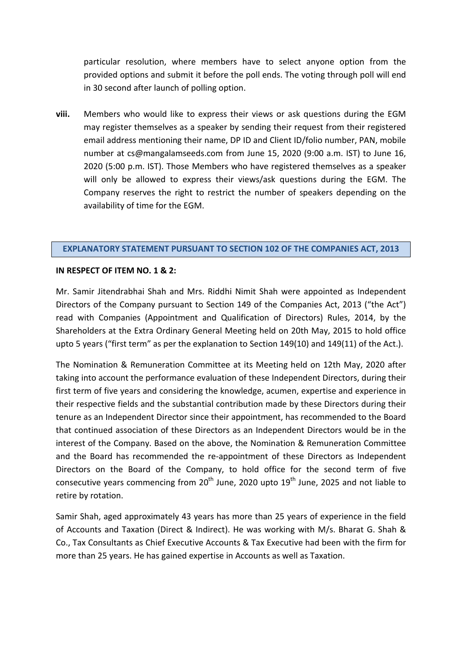particular resolution, where members have to select anyone option from the provided options and submit it before the poll ends. The voting through poll will end in 30 second after launch of polling option.

**viii.** Members who would like to express their views or ask questions during the EGM may register themselves as a speaker by sending their request from their registered email address mentioning their name, DP ID and Client ID/folio number, PAN, mobile number at cs@mangalamseeds.com from June 15, 2020 (9:00 a.m. IST) to June 16, 2020 (5:00 p.m. IST). Those Members who have registered themselves as a speaker will only be allowed to express their views/ask questions during the EGM. The Company reserves the right to restrict the number of speakers depending on the availability of time for the EGM.

#### **EXPLANATORY STATEMENT PURSUANT TO SECTION 102 OF THE COMPANIES ACT, 2013**

#### **IN RESPECT OF ITEM NO. 1 & 2:**

Mr. Samir Jitendrabhai Shah and Mrs. Riddhi Nimit Shah were appointed as Independent Directors of the Company pursuant to Section 149 of the Companies Act, 2013 ("the Act") read with Companies (Appointment and Qualification of Directors) Rules, 2014, by the Shareholders at the Extra Ordinary General Meeting held on 20th May, 2015 to hold office upto 5 years ("first term" as per the explanation to Section 149(10) and 149(11) of the Act.).

The Nomination & Remuneration Committee at its Meeting held on 12th May, 2020 after taking into account the performance evaluation of these Independent Directors, during their first term of five years and considering the knowledge, acumen, expertise and experience in their respective fields and the substantial contribution made by these Directors during their tenure as an Independent Director since their appointment, has recommended to the Board that continued association of these Directors as an Independent Directors would be in the interest of the Company. Based on the above, the Nomination & Remuneration Committee and the Board has recommended the re-appointment of these Directors as Independent Directors on the Board of the Company, to hold office for the second term of five consecutive years commencing from  $20^{th}$  June, 2020 upto  $19^{th}$  June, 2025 and not liable to retire by rotation.

Samir Shah, aged approximately 43 years has more than 25 years of experience in the field of Accounts and Taxation (Direct & Indirect). He was working with M/s. Bharat G. Shah & Co., Tax Consultants as Chief Executive Accounts & Tax Executive had been with the firm for more than 25 years. He has gained expertise in Accounts as well as Taxation.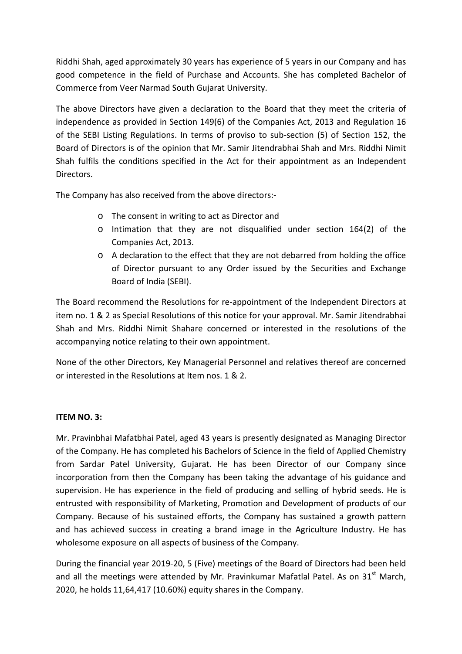Riddhi Shah, aged approximately 30 years has experience of 5 years in our Company and has good competence in the field of Purchase and Accounts. She has completed Bachelor of Commerce from Veer Narmad South Gujarat University.

The above Directors have given a declaration to the Board that they meet the criteria of independence as provided in Section 149(6) of the Companies Act, 2013 and Regulation 16 of the SEBI Listing Regulations. In terms of proviso to sub-section (5) of Section 152, the Board of Directors is of the opinion that Mr. Samir Jitendrabhai Shah and Mrs. Riddhi Nimit Shah fulfils the conditions specified in the Act for their appointment as an Independent Directors.

The Company has also received from the above directors:-

- o The consent in writing to act as Director and
- o Intimation that they are not disqualified under section 164(2) of the Companies Act, 2013.
- o A declaration to the effect that they are not debarred from holding the office of Director pursuant to any Order issued by the Securities and Exchange Board of India (SEBI).

The Board recommend the Resolutions for re-appointment of the Independent Directors at item no. 1 & 2 as Special Resolutions of this notice for your approval. Mr. Samir Jitendrabhai Shah and Mrs. Riddhi Nimit Shahare concerned or interested in the resolutions of the accompanying notice relating to their own appointment.

None of the other Directors, Key Managerial Personnel and relatives thereof are concerned or interested in the Resolutions at Item nos. 1 & 2.

### **ITEM NO. 3:**

Mr. Pravinbhai Mafatbhai Patel, aged 43 years is presently designated as Managing Director of the Company. He has completed his Bachelors of Science in the field of Applied Chemistry from Sardar Patel University, Gujarat. He has been Director of our Company since incorporation from then the Company has been taking the advantage of his guidance and supervision. He has experience in the field of producing and selling of hybrid seeds. He is entrusted with responsibility of Marketing, Promotion and Development of products of our Company. Because of his sustained efforts, the Company has sustained a growth pattern and has achieved success in creating a brand image in the Agriculture Industry. He has wholesome exposure on all aspects of business of the Company.

During the financial year 2019-20, 5 (Five) meetings of the Board of Directors had been held and all the meetings were attended by Mr. Pravinkumar Mafatlal Patel. As on  $31<sup>st</sup>$  March, 2020, he holds 11,64,417 (10.60%) equity shares in the Company.